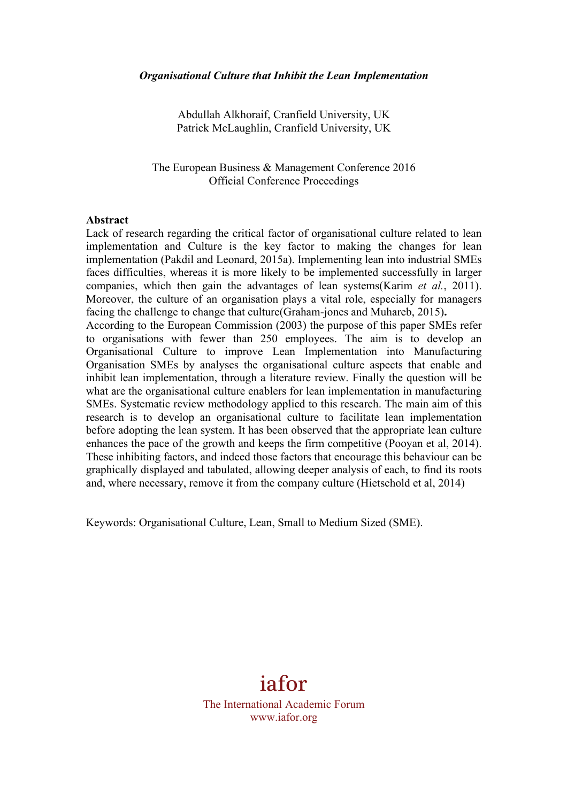Abdullah Alkhoraif, Cranfield University, UK Patrick McLaughlin, Cranfield University, UK

The European Business & Management Conference 2016 Official Conference Proceedings

#### **Abstract**

Lack of research regarding the critical factor of organisational culture related to lean implementation and Culture is the key factor to making the changes for lean implementation (Pakdil and Leonard, 2015a). Implementing lean into industrial SMEs faces difficulties, whereas it is more likely to be implemented successfully in larger companies, which then gain the advantages of lean systems(Karim *et al.*, 2011). Moreover, the culture of an organisation plays a vital role, especially for managers facing the challenge to change that culture(Graham-jones and Muhareb, 2015)**.**  According to the European Commission (2003) the purpose of this paper SMEs refer to organisations with fewer than 250 employees. The aim is to develop an Organisational Culture to improve Lean Implementation into Manufacturing Organisation SMEs by analyses the organisational culture aspects that enable and inhibit lean implementation, through a literature review. Finally the question will be what are the organisational culture enablers for lean implementation in manufacturing SMEs. Systematic review methodology applied to this research. The main aim of this research is to develop an organisational culture to facilitate lean implementation before adopting the lean system. It has been observed that the appropriate lean culture

enhances the pace of the growth and keeps the firm competitive (Pooyan et al, 2014). These inhibiting factors, and indeed those factors that encourage this behaviour can be graphically displayed and tabulated, allowing deeper analysis of each, to find its roots and, where necessary, remove it from the company culture (Hietschold et al, 2014)

Keywords: Organisational Culture, Lean, Small to Medium Sized (SME).

# iafor

The International Academic Forum www.iafor.org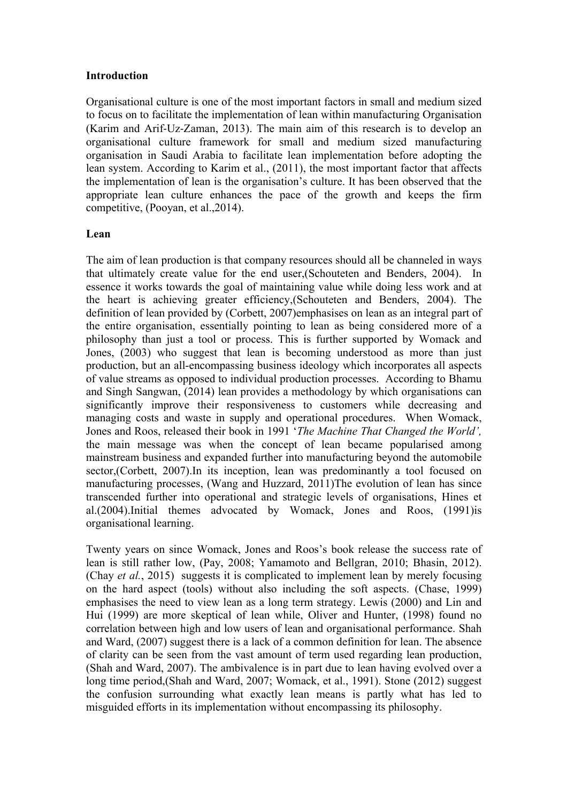# **Introduction**

Organisational culture is one of the most important factors in small and medium sized to focus on to facilitate the implementation of lean within manufacturing Organisation (Karim and Arif-Uz-Zaman, 2013). The main aim of this research is to develop an organisational culture framework for small and medium sized manufacturing organisation in Saudi Arabia to facilitate lean implementation before adopting the lean system. According to Karim et al., (2011), the most important factor that affects the implementation of lean is the organisation's culture. It has been observed that the appropriate lean culture enhances the pace of the growth and keeps the firm competitive, (Pooyan, et al.,2014).

# **Lean**

The aim of lean production is that company resources should all be channeled in ways that ultimately create value for the end user,(Schouteten and Benders, 2004). In essence it works towards the goal of maintaining value while doing less work and at the heart is achieving greater efficiency,(Schouteten and Benders, 2004). The definition of lean provided by (Corbett, 2007)emphasises on lean as an integral part of the entire organisation, essentially pointing to lean as being considered more of a philosophy than just a tool or process. This is further supported by Womack and Jones, (2003) who suggest that lean is becoming understood as more than just production, but an all-encompassing business ideology which incorporates all aspects of value streams as opposed to individual production processes. According to Bhamu and Singh Sangwan, (2014) lean provides a methodology by which organisations can significantly improve their responsiveness to customers while decreasing and managing costs and waste in supply and operational procedures. When Womack, Jones and Roos, released their book in 1991 '*The Machine That Changed the World',*  the main message was when the concept of lean became popularised among mainstream business and expanded further into manufacturing beyond the automobile sector,(Corbett, 2007).In its inception, lean was predominantly a tool focused on manufacturing processes, (Wang and Huzzard, 2011)The evolution of lean has since transcended further into operational and strategic levels of organisations, Hines et al.(2004).Initial themes advocated by Womack, Jones and Roos, (1991)is organisational learning.

Twenty years on since Womack, Jones and Roos's book release the success rate of lean is still rather low, (Pay, 2008; Yamamoto and Bellgran, 2010; Bhasin, 2012). (Chay *et al.*, 2015) suggests it is complicated to implement lean by merely focusing on the hard aspect (tools) without also including the soft aspects. (Chase, 1999) emphasises the need to view lean as a long term strategy. Lewis (2000) and Lin and Hui (1999) are more skeptical of lean while, Oliver and Hunter, (1998) found no correlation between high and low users of lean and organisational performance. Shah and Ward, (2007) suggest there is a lack of a common definition for lean. The absence of clarity can be seen from the vast amount of term used regarding lean production, (Shah and Ward, 2007). The ambivalence is in part due to lean having evolved over a long time period,(Shah and Ward, 2007; Womack, et al., 1991). Stone (2012) suggest the confusion surrounding what exactly lean means is partly what has led to misguided efforts in its implementation without encompassing its philosophy.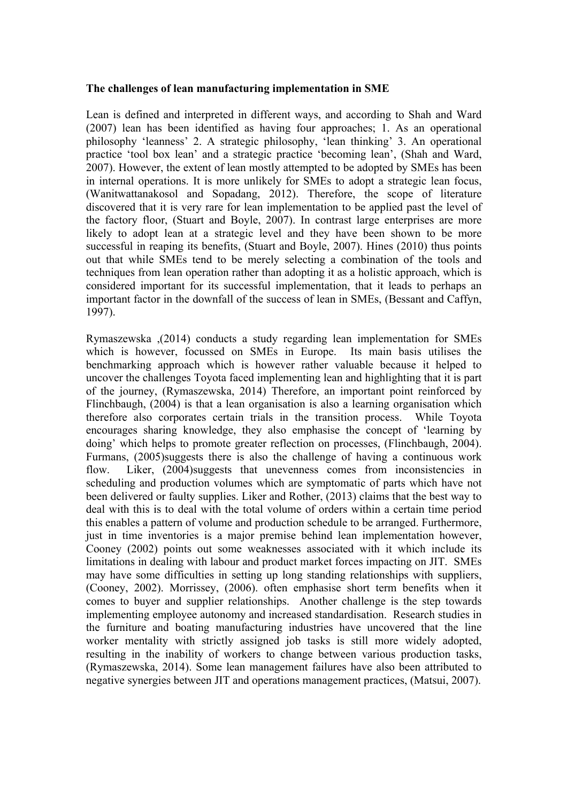#### **The challenges of lean manufacturing implementation in SME**

Lean is defined and interpreted in different ways, and according to Shah and Ward (2007) lean has been identified as having four approaches; 1. As an operational philosophy 'leanness' 2. A strategic philosophy, 'lean thinking' 3. An operational practice 'tool box lean' and a strategic practice 'becoming lean', (Shah and Ward, 2007). However, the extent of lean mostly attempted to be adopted by SMEs has been in internal operations. It is more unlikely for SMEs to adopt a strategic lean focus, (Wanitwattanakosol and Sopadang, 2012). Therefore, the scope of literature discovered that it is very rare for lean implementation to be applied past the level of the factory floor, (Stuart and Boyle, 2007). In contrast large enterprises are more likely to adopt lean at a strategic level and they have been shown to be more successful in reaping its benefits, (Stuart and Boyle, 2007). Hines (2010) thus points out that while SMEs tend to be merely selecting a combination of the tools and techniques from lean operation rather than adopting it as a holistic approach, which is considered important for its successful implementation, that it leads to perhaps an important factor in the downfall of the success of lean in SMEs, (Bessant and Caffyn, 1997).

Rymaszewska ,(2014) conducts a study regarding lean implementation for SMEs which is however, focussed on SMEs in Europe. Its main basis utilises the benchmarking approach which is however rather valuable because it helped to uncover the challenges Toyota faced implementing lean and highlighting that it is part of the journey, (Rymaszewska, 2014) Therefore, an important point reinforced by Flinchbaugh, (2004) is that a lean organisation is also a learning organisation which therefore also corporates certain trials in the transition process. While Toyota encourages sharing knowledge, they also emphasise the concept of 'learning by doing' which helps to promote greater reflection on processes, (Flinchbaugh, 2004). Furmans, (2005)suggests there is also the challenge of having a continuous work flow. Liker, (2004)suggests that unevenness comes from inconsistencies in scheduling and production volumes which are symptomatic of parts which have not been delivered or faulty supplies. Liker and Rother, (2013) claims that the best way to deal with this is to deal with the total volume of orders within a certain time period this enables a pattern of volume and production schedule to be arranged. Furthermore, just in time inventories is a major premise behind lean implementation however, Cooney (2002) points out some weaknesses associated with it which include its limitations in dealing with labour and product market forces impacting on JIT. SMEs may have some difficulties in setting up long standing relationships with suppliers, (Cooney, 2002). Morrissey, (2006). often emphasise short term benefits when it comes to buyer and supplier relationships. Another challenge is the step towards implementing employee autonomy and increased standardisation. Research studies in the furniture and boating manufacturing industries have uncovered that the line worker mentality with strictly assigned job tasks is still more widely adopted, resulting in the inability of workers to change between various production tasks, (Rymaszewska, 2014). Some lean management failures have also been attributed to negative synergies between JIT and operations management practices, (Matsui, 2007).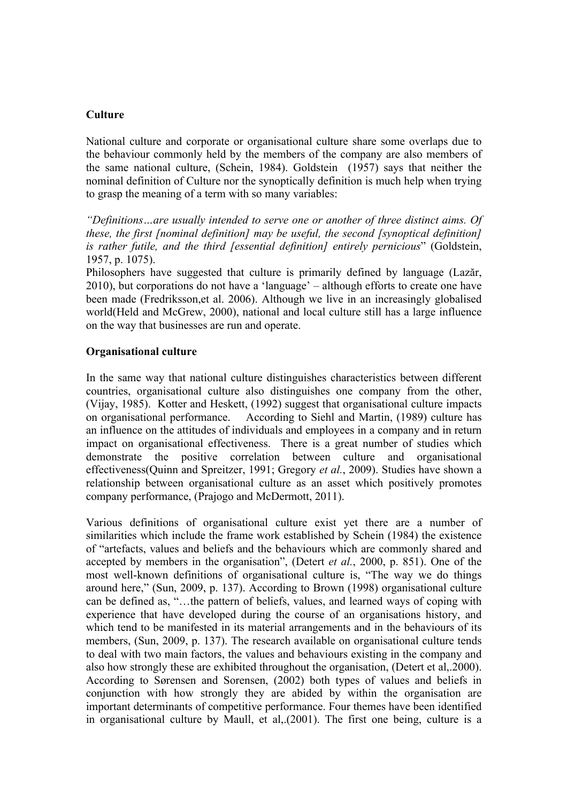# **Culture**

National culture and corporate or organisational culture share some overlaps due to the behaviour commonly held by the members of the company are also members of the same national culture, (Schein, 1984). Goldstein (1957) says that neither the nominal definition of Culture nor the synoptically definition is much help when trying to grasp the meaning of a term with so many variables:

*"Definitions…are usually intended to serve one or another of three distinct aims. Of these, the first [nominal definition] may be useful, the second [synoptical definition] is rather futile, and the third [essential definition] entirely pernicious*" (Goldstein, 1957, p. 1075).

Philosophers have suggested that culture is primarily defined by language (Lazăr, 2010), but corporations do not have a 'language' – although efforts to create one have been made (Fredriksson,et al. 2006). Although we live in an increasingly globalised world(Held and McGrew, 2000), national and local culture still has a large influence on the way that businesses are run and operate.

# **Organisational culture**

In the same way that national culture distinguishes characteristics between different countries, organisational culture also distinguishes one company from the other, (Vijay, 1985). Kotter and Heskett, (1992) suggest that organisational culture impacts on organisational performance. According to Siehl and Martin, (1989) culture has an influence on the attitudes of individuals and employees in a company and in return impact on organisational effectiveness. There is a great number of studies which demonstrate the positive correlation between culture and organisational effectiveness(Quinn and Spreitzer, 1991; Gregory *et al.*, 2009). Studies have shown a relationship between organisational culture as an asset which positively promotes company performance, (Prajogo and McDermott, 2011).

Various definitions of organisational culture exist yet there are a number of similarities which include the frame work established by Schein (1984) the existence of "artefacts, values and beliefs and the behaviours which are commonly shared and accepted by members in the organisation", (Detert *et al.*, 2000, p. 851). One of the most well-known definitions of organisational culture is, "The way we do things around here," (Sun, 2009, p. 137). According to Brown (1998) organisational culture can be defined as, "…the pattern of beliefs, values, and learned ways of coping with experience that have developed during the course of an organisations history, and which tend to be manifested in its material arrangements and in the behaviours of its members, (Sun, 2009, p. 137). The research available on organisational culture tends to deal with two main factors, the values and behaviours existing in the company and also how strongly these are exhibited throughout the organisation, (Detert et al,.2000). According to Sørensen and Sorensen, (2002) both types of values and beliefs in conjunction with how strongly they are abided by within the organisation are important determinants of competitive performance. Four themes have been identified in organisational culture by Maull, et al,.(2001). The first one being, culture is a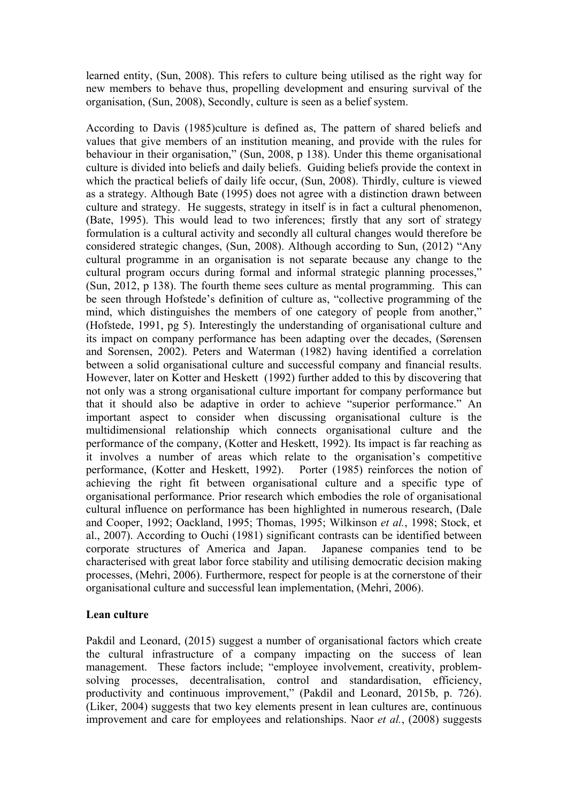learned entity, (Sun, 2008). This refers to culture being utilised as the right way for new members to behave thus, propelling development and ensuring survival of the organisation, (Sun, 2008), Secondly, culture is seen as a belief system.

According to Davis (1985)culture is defined as, The pattern of shared beliefs and values that give members of an institution meaning, and provide with the rules for behaviour in their organisation," (Sun, 2008, p 138). Under this theme organisational culture is divided into beliefs and daily beliefs. Guiding beliefs provide the context in which the practical beliefs of daily life occur, (Sun, 2008). Thirdly, culture is viewed as a strategy. Although Bate (1995) does not agree with a distinction drawn between culture and strategy. He suggests, strategy in itself is in fact a cultural phenomenon, (Bate, 1995). This would lead to two inferences; firstly that any sort of strategy formulation is a cultural activity and secondly all cultural changes would therefore be considered strategic changes, (Sun, 2008). Although according to Sun, (2012) "Any cultural programme in an organisation is not separate because any change to the cultural program occurs during formal and informal strategic planning processes," (Sun, 2012, p 138). The fourth theme sees culture as mental programming. This can be seen through Hofstede's definition of culture as, "collective programming of the mind, which distinguishes the members of one category of people from another," (Hofstede, 1991, pg 5). Interestingly the understanding of organisational culture and its impact on company performance has been adapting over the decades, (Sørensen and Sorensen, 2002). Peters and Waterman (1982) having identified a correlation between a solid organisational culture and successful company and financial results. However, later on Kotter and Heskett (1992) further added to this by discovering that not only was a strong organisational culture important for company performance but that it should also be adaptive in order to achieve "superior performance." An important aspect to consider when discussing organisational culture is the multidimensional relationship which connects organisational culture and the performance of the company, (Kotter and Heskett, 1992). Its impact is far reaching as it involves a number of areas which relate to the organisation's competitive performance, (Kotter and Heskett, 1992). Porter (1985) reinforces the notion of achieving the right fit between organisational culture and a specific type of organisational performance. Prior research which embodies the role of organisational cultural influence on performance has been highlighted in numerous research, (Dale and Cooper, 1992; Oackland, 1995; Thomas, 1995; Wilkinson *et al.*, 1998; Stock, et al., 2007). According to Ouchi (1981) significant contrasts can be identified between corporate structures of America and Japan. Japanese companies tend to be characterised with great labor force stability and utilising democratic decision making processes, (Mehri, 2006). Furthermore, respect for people is at the cornerstone of their organisational culture and successful lean implementation, (Mehri, 2006).

# **Lean culture**

Pakdil and Leonard, (2015) suggest a number of organisational factors which create the cultural infrastructure of a company impacting on the success of lean management. These factors include; "employee involvement, creativity, problemsolving processes, decentralisation, control and standardisation, efficiency, productivity and continuous improvement," (Pakdil and Leonard, 2015b, p. 726). (Liker, 2004) suggests that two key elements present in lean cultures are, continuous improvement and care for employees and relationships. Naor *et al.*, (2008) suggests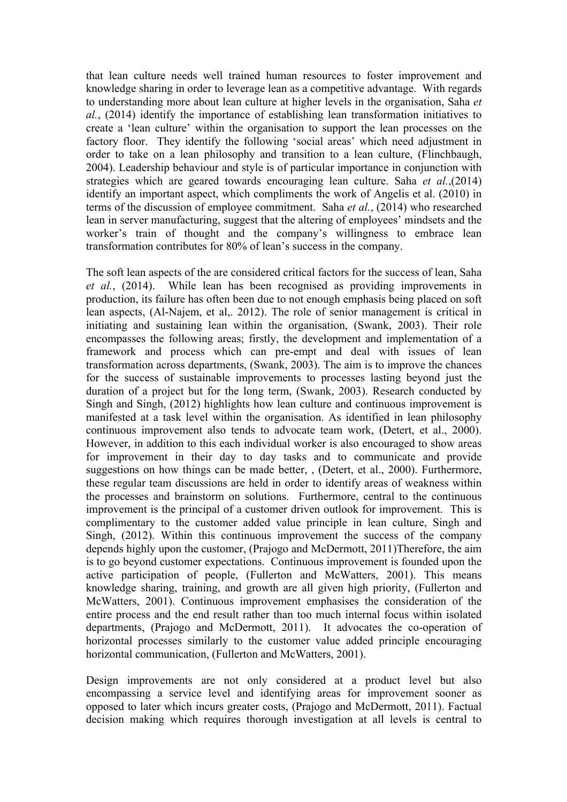that lean culture needs well trained human resources to foster improvement and knowledge sharing in order to leverage lean as a competitive advantage. With regards to understanding more about lean culture at higher levels in the organisation, Saha *et al.*, (2014) identify the importance of establishing lean transformation initiatives to create a 'lean culture' within the organisation to support the lean processes on the factory floor. They identify the following 'social areas' which need adjustment in order to take on a lean philosophy and transition to a lean culture, (Flinchbaugh, 2004). Leadership behaviour and style is of particular importance in conjunction with strategies which are geared towards encouraging lean culture. Saha *et al.*,(2014) identify an important aspect, which compliments the work of Angelis et al. (2010) in terms of the discussion of employee commitment. Saha *et al.*, (2014) who researched lean in server manufacturing, suggest that the altering of employees' mindsets and the worker's train of thought and the company's willingness to embrace lean transformation contributes for 80% of lean's success in the company.

The soft lean aspects of the are considered critical factors for the success of lean, Saha *et al.*, (2014). While lean has been recognised as providing improvements in production, its failure has often been due to not enough emphasis being placed on soft lean aspects, (Al-Najem, et al,. 2012). The role of senior management is critical in initiating and sustaining lean within the organisation, (Swank, 2003). Their role encompasses the following areas; firstly, the development and implementation of a framework and process which can pre-empt and deal with issues of lean transformation across departments, (Swank, 2003). The aim is to improve the chances for the success of sustainable improvements to processes lasting beyond just the duration of a project but for the long term, (Swank, 2003). Research conducted by Singh and Singh, (2012) highlights how lean culture and continuous improvement is manifested at a task level within the organisation. As identified in lean philosophy continuous improvement also tends to advocate team work, (Detert, et al., 2000). However, in addition to this each individual worker is also encouraged to show areas for improvement in their day to day tasks and to communicate and provide suggestions on how things can be made better, , (Detert, et al., 2000). Furthermore, these regular team discussions are held in order to identify areas of weakness within the processes and brainstorm on solutions. Furthermore, central to the continuous improvement is the principal of a customer driven outlook for improvement. This is complimentary to the customer added value principle in lean culture, Singh and Singh, (2012). Within this continuous improvement the success of the company depends highly upon the customer, (Prajogo and McDermott, 2011)Therefore, the aim is to go beyond customer expectations. Continuous improvement is founded upon the active participation of people, (Fullerton and McWatters, 2001). This means knowledge sharing, training, and growth are all given high priority, (Fullerton and McWatters, 2001). Continuous improvement emphasises the consideration of the entire process and the end result rather than too much internal focus within isolated departments, (Prajogo and McDermott, 2011). It advocates the co-operation of horizontal processes similarly to the customer value added principle encouraging horizontal communication, (Fullerton and McWatters, 2001).

Design improvements are not only considered at a product level but also encompassing a service level and identifying areas for improvement sooner as opposed to later which incurs greater costs, (Prajogo and McDermott, 2011). Factual decision making which requires thorough investigation at all levels is central to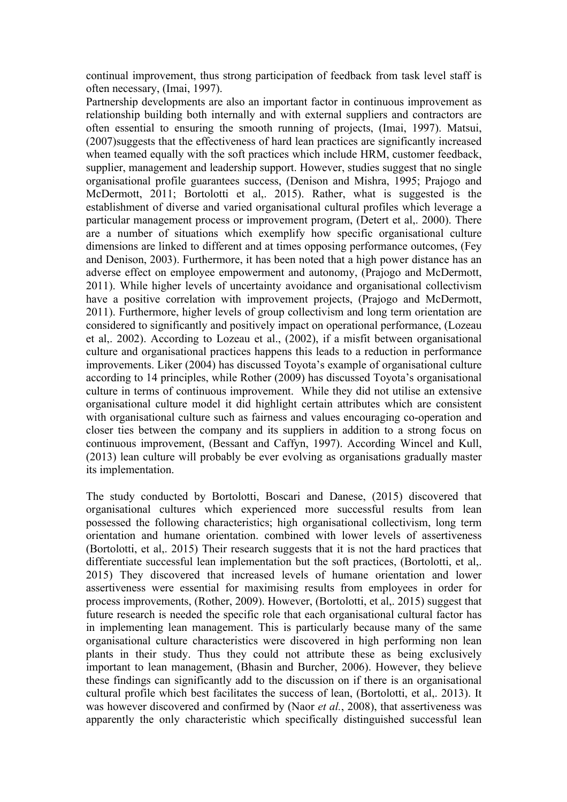continual improvement, thus strong participation of feedback from task level staff is often necessary, (Imai, 1997).

Partnership developments are also an important factor in continuous improvement as relationship building both internally and with external suppliers and contractors are often essential to ensuring the smooth running of projects, (Imai, 1997). Matsui, (2007)suggests that the effectiveness of hard lean practices are significantly increased when teamed equally with the soft practices which include HRM, customer feedback, supplier, management and leadership support. However, studies suggest that no single organisational profile guarantees success, (Denison and Mishra, 1995; Prajogo and McDermott, 2011; Bortolotti et al., 2015). Rather, what is suggested is the establishment of diverse and varied organisational cultural profiles which leverage a particular management process or improvement program, (Detert et al,. 2000). There are a number of situations which exemplify how specific organisational culture dimensions are linked to different and at times opposing performance outcomes, (Fey and Denison, 2003). Furthermore, it has been noted that a high power distance has an adverse effect on employee empowerment and autonomy, (Prajogo and McDermott, 2011). While higher levels of uncertainty avoidance and organisational collectivism have a positive correlation with improvement projects, (Prajogo and McDermott, 2011). Furthermore, higher levels of group collectivism and long term orientation are considered to significantly and positively impact on operational performance, (Lozeau et al,. 2002). According to Lozeau et al., (2002), if a misfit between organisational culture and organisational practices happens this leads to a reduction in performance improvements. Liker (2004) has discussed Toyota's example of organisational culture according to 14 principles, while Rother (2009) has discussed Toyota's organisational culture in terms of continuous improvement. While they did not utilise an extensive organisational culture model it did highlight certain attributes which are consistent with organisational culture such as fairness and values encouraging co-operation and closer ties between the company and its suppliers in addition to a strong focus on continuous improvement, (Bessant and Caffyn, 1997). According Wincel and Kull, (2013) lean culture will probably be ever evolving as organisations gradually master its implementation.

The study conducted by Bortolotti, Boscari and Danese, (2015) discovered that organisational cultures which experienced more successful results from lean possessed the following characteristics; high organisational collectivism, long term orientation and humane orientation. combined with lower levels of assertiveness (Bortolotti, et al,. 2015) Their research suggests that it is not the hard practices that differentiate successful lean implementation but the soft practices, (Bortolotti, et al,. 2015) They discovered that increased levels of humane orientation and lower assertiveness were essential for maximising results from employees in order for process improvements, (Rother, 2009). However, (Bortolotti, et al,. 2015) suggest that future research is needed the specific role that each organisational cultural factor has in implementing lean management. This is particularly because many of the same organisational culture characteristics were discovered in high performing non lean plants in their study. Thus they could not attribute these as being exclusively important to lean management, (Bhasin and Burcher, 2006). However, they believe these findings can significantly add to the discussion on if there is an organisational cultural profile which best facilitates the success of lean, (Bortolotti, et al,. 2013). It was however discovered and confirmed by (Naor *et al.*, 2008), that assertiveness was apparently the only characteristic which specifically distinguished successful lean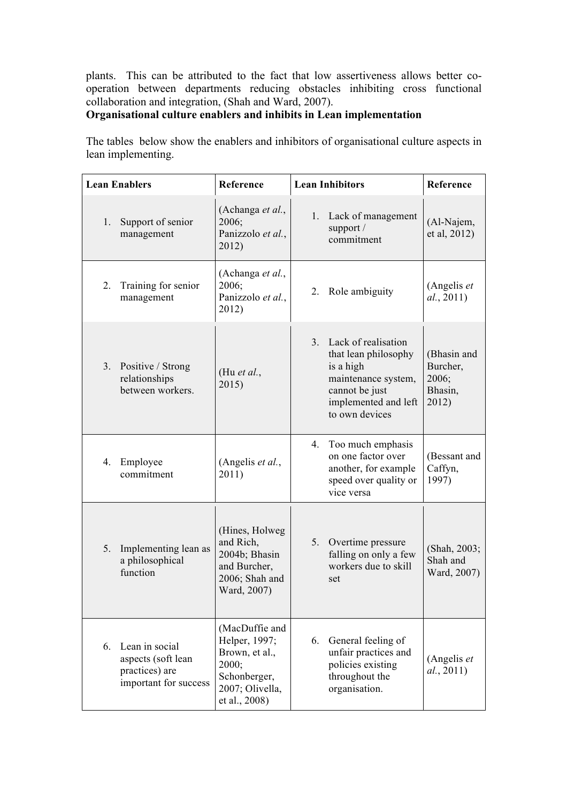plants. This can be attributed to the fact that low assertiveness allows better cooperation between departments reducing obstacles inhibiting cross functional collaboration and integration, (Shah and Ward, 2007).

# **Organisational culture enablers and inhibits in Lean implementation**

The tables below show the enablers and inhibitors of organisational culture aspects in lean implementing.

| <b>Lean Enablers</b> |                                                                                 | Reference                                                                                                      | <b>Lean Inhibitors</b> |                                                                                                                                             | Reference                                            |
|----------------------|---------------------------------------------------------------------------------|----------------------------------------------------------------------------------------------------------------|------------------------|---------------------------------------------------------------------------------------------------------------------------------------------|------------------------------------------------------|
| 1.                   | Support of senior<br>management                                                 | (Achanga et al.,<br>2006;<br>Panizzolo et al.,<br>2012)                                                        |                        | 1. Lack of management<br>support $/$<br>commitment                                                                                          | (Al-Najem,<br>et al, 2012)                           |
| 2.                   | Training for senior<br>management                                               | (Achanga et al.,<br>2006;<br>Panizzolo et al.,<br>2012)                                                        |                        | 2. Role ambiguity                                                                                                                           | (Angelis et<br>al., 2011)                            |
|                      | 3. Positive / Strong<br>relationships<br>between workers.                       | (Hu et al.,<br>2015)                                                                                           | 3.                     | Lack of realisation<br>that lean philosophy<br>is a high<br>maintenance system,<br>cannot be just<br>implemented and left<br>to own devices | (Bhasin and<br>Burcher,<br>2006;<br>Bhasin,<br>2012) |
| 4.                   | Employee<br>commitment                                                          | (Angelis et al.,<br>2011)                                                                                      |                        | 4. Too much emphasis<br>on one factor over<br>another, for example<br>speed over quality or<br>vice versa                                   | (Bessant and<br>Caffyn,<br>1997)                     |
| 5.                   | Implementing lean as<br>a philosophical<br>function                             | (Hines, Holweg)<br>and Rich,<br>2004b; Bhasin<br>and Burcher,<br>2006; Shah and<br>Ward, 2007)                 | 5.                     | Overtime pressure<br>falling on only a few<br>workers due to skill<br>set                                                                   | (Shah, 2003;<br>Shah and<br>Ward, 2007)              |
| 6.                   | Lean in social<br>aspects (soft lean<br>practices) are<br>important for success | (MacDuffie and<br>Helper, 1997;<br>Brown, et al.,<br>2000;<br>Schonberger,<br>2007; Olivella,<br>et al., 2008) | 6.                     | General feeling of<br>unfair practices and<br>policies existing<br>throughout the<br>organisation.                                          | (Angelis et<br>al., 2011)                            |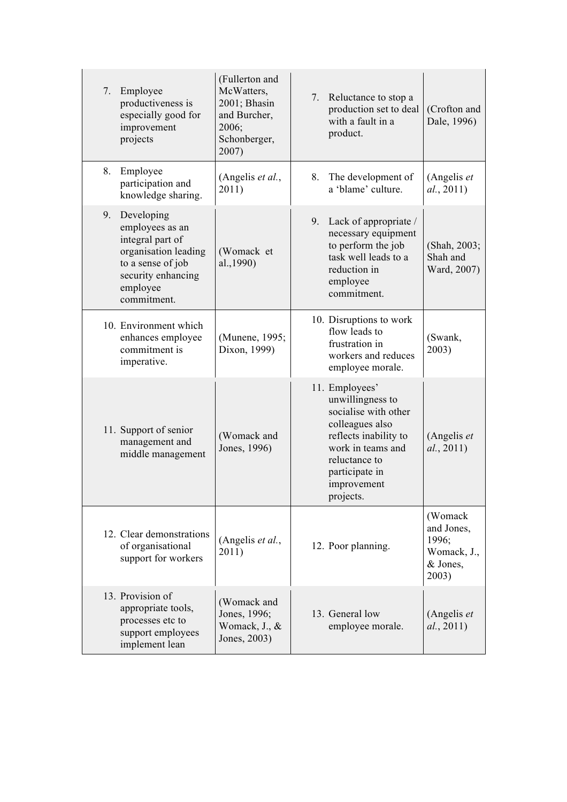| 7. | Employee<br>productiveness is<br>especially good for<br>improvement<br>projects                                                                 | (Fullerton and<br>McWatters,<br>2001; Bhasin<br>and Burcher,<br>2006;<br>Schonberger,<br>2007) | 7. | Reluctance to stop a<br>production set to deal<br>with a fault in a<br>product.                                                                                                            | (Crofton and<br>Dale, 1996)                                        |
|----|-------------------------------------------------------------------------------------------------------------------------------------------------|------------------------------------------------------------------------------------------------|----|--------------------------------------------------------------------------------------------------------------------------------------------------------------------------------------------|--------------------------------------------------------------------|
| 8. | Employee<br>participation and<br>knowledge sharing.                                                                                             | (Angelis et al.,<br>2011)                                                                      | 8. | The development of<br>a 'blame' culture.                                                                                                                                                   | (Angelis et<br>al., 2011)                                          |
| 9. | Developing<br>employees as an<br>integral part of<br>organisation leading<br>to a sense of job<br>security enhancing<br>employee<br>commitment. | (Womack et<br>al., 1990)                                                                       |    | 9. Lack of appropriate /<br>necessary equipment<br>to perform the job<br>task well leads to a<br>reduction in<br>employee<br>commitment.                                                   | (Shah, 2003;<br>Shah and<br>Ward, 2007)                            |
|    | 10. Environment which<br>enhances employee<br>commitment is<br>imperative.                                                                      | (Munene, 1995;<br>Dixon, 1999)                                                                 |    | 10. Disruptions to work<br>flow leads to<br>frustration in<br>workers and reduces<br>employee morale.                                                                                      | (Swank,<br>2003)                                                   |
|    | 11. Support of senior<br>management and<br>middle management                                                                                    | (Womack and<br>Jones, 1996)                                                                    |    | 11. Employees'<br>unwillingness to<br>socialise with other<br>colleagues also<br>reflects inability to<br>work in teams and<br>reluctance to<br>participate in<br>improvement<br>projects. | (Angelis et<br>al., 2011)                                          |
|    | 12. Clear demonstrations<br>of organisational<br>support for workers                                                                            | (Angelis et al.,<br>2011)                                                                      |    | 12. Poor planning.                                                                                                                                                                         | (Womack<br>and Jones,<br>1996;<br>Womack, J.,<br>& Jones.<br>2003) |
|    | 13. Provision of<br>appropriate tools,<br>processes etc to<br>support employees<br>implement lean                                               | (Womack and<br>Jones, 1996;<br>Womack, J., &<br>Jones, 2003)                                   |    | 13. General low<br>employee morale.                                                                                                                                                        | (Angelis et<br>al., 2011)                                          |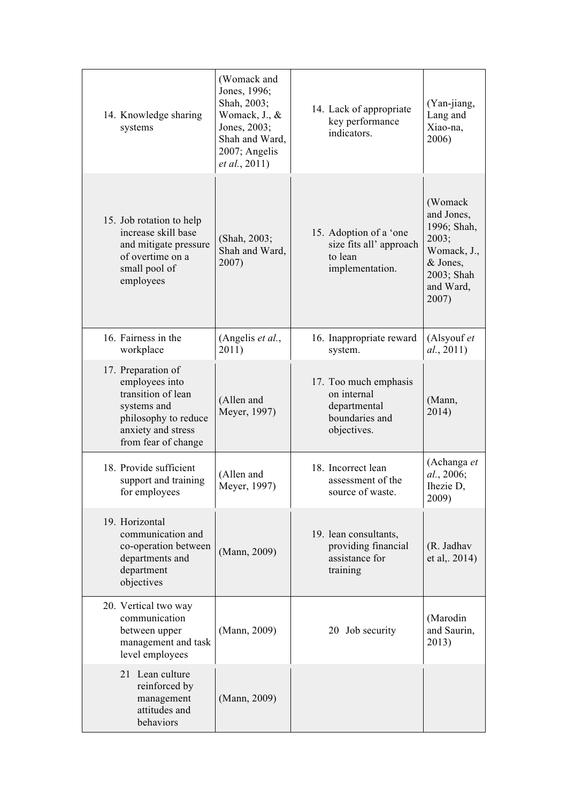| 14. Knowledge sharing<br>systems                                                                                                               | (Womack and<br>Jones, 1996;<br>Shah, 2003;<br>Womack, J., &<br>Jones, 2003;<br>Shah and Ward,<br>2007; Angelis<br>et al., 2011) | 14. Lack of appropriate<br>key performance<br>indicators.                             | (Yan-jiang,<br>Lang and<br>Xiao-na,<br>2006)                                                                 |
|------------------------------------------------------------------------------------------------------------------------------------------------|---------------------------------------------------------------------------------------------------------------------------------|---------------------------------------------------------------------------------------|--------------------------------------------------------------------------------------------------------------|
| 15. Job rotation to help<br>increase skill base<br>and mitigate pressure<br>of overtime on a<br>small pool of<br>employees                     | (Shah, 2003;<br>Shah and Ward,<br>2007)                                                                                         | 15. Adoption of a 'one<br>size fits all'approach<br>to lean<br>implementation.        | (Womack<br>and Jones,<br>1996; Shah,<br>2003;<br>Womack, J.,<br>& Jones,<br>2003; Shah<br>and Ward,<br>2007) |
| 16. Fairness in the<br>workplace                                                                                                               | (Angelis et al.,<br>2011)                                                                                                       | 16. Inappropriate reward<br>system.                                                   | (Alsyouf et<br>al., 2011)                                                                                    |
| 17. Preparation of<br>employees into<br>transition of lean<br>systems and<br>philosophy to reduce<br>anxiety and stress<br>from fear of change | (Allen and<br>Meyer, 1997)                                                                                                      | 17. Too much emphasis<br>on internal<br>departmental<br>boundaries and<br>objectives. | (Mann,<br>2014)                                                                                              |
| 18. Provide sufficient<br>support and training<br>for employees                                                                                | (Allen and<br>Meyer, 1997)                                                                                                      | 18. Incorrect lean<br>assessment of the<br>source of waste                            | (Achanga et<br>al., 2006;<br>Ihezie D,<br>2009)                                                              |
| 19. Horizontal<br>communication and<br>co-operation between<br>departments and<br>department<br>objectives                                     | (Mann, 2009)                                                                                                                    | 19. lean consultants,<br>providing financial<br>assistance for<br>training            | (R. Jadhav<br>et al, 2014)                                                                                   |
| 20. Vertical two way<br>communication<br>between upper<br>management and task<br>level employees                                               | (Mann, 2009)                                                                                                                    | 20 Job security                                                                       | (Marodin<br>and Saurin,<br>2013)                                                                             |
| 21 Lean culture<br>reinforced by<br>management<br>attitudes and<br>behaviors                                                                   | (Mann, 2009)                                                                                                                    |                                                                                       |                                                                                                              |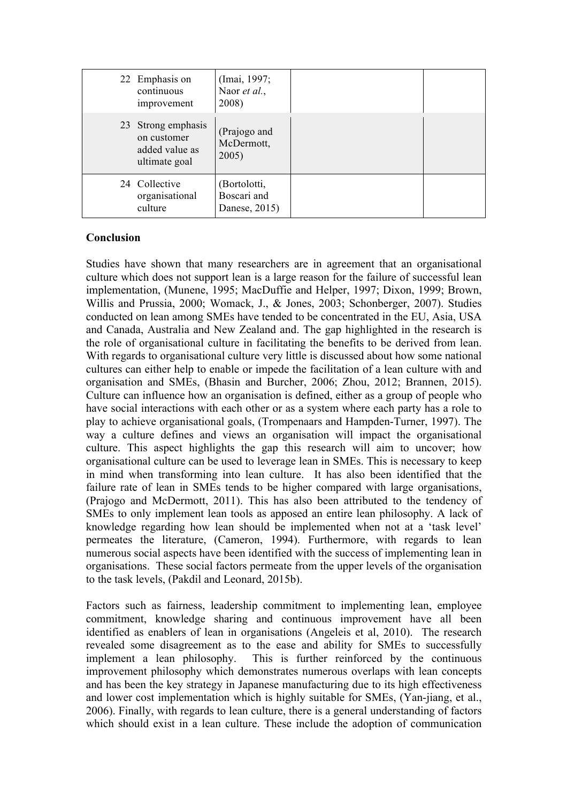| 22 Emphasis on<br>continuous<br>improvement                          | (Imai, 1997;<br>Naor et al.,<br>2008)        |  |
|----------------------------------------------------------------------|----------------------------------------------|--|
| 23 Strong emphasis<br>on customer<br>added value as<br>ultimate goal | (Prajogo and<br>McDermott,<br>2005)          |  |
| 24 Collective<br>organisational<br>culture                           | (Bortolotti,<br>Boscari and<br>Danese, 2015) |  |

# **Conclusion**

Studies have shown that many researchers are in agreement that an organisational culture which does not support lean is a large reason for the failure of successful lean implementation, (Munene, 1995; MacDuffie and Helper, 1997; Dixon, 1999; Brown, Willis and Prussia, 2000; Womack, J., & Jones, 2003; Schonberger, 2007). Studies conducted on lean among SMEs have tended to be concentrated in the EU, Asia, USA and Canada, Australia and New Zealand and. The gap highlighted in the research is the role of organisational culture in facilitating the benefits to be derived from lean. With regards to organisational culture very little is discussed about how some national cultures can either help to enable or impede the facilitation of a lean culture with and organisation and SMEs, (Bhasin and Burcher, 2006; Zhou, 2012; Brannen, 2015). Culture can influence how an organisation is defined, either as a group of people who have social interactions with each other or as a system where each party has a role to play to achieve organisational goals, (Trompenaars and Hampden-Turner, 1997). The way a culture defines and views an organisation will impact the organisational culture. This aspect highlights the gap this research will aim to uncover; how organisational culture can be used to leverage lean in SMEs. This is necessary to keep in mind when transforming into lean culture. It has also been identified that the failure rate of lean in SMEs tends to be higher compared with large organisations, (Prajogo and McDermott, 2011). This has also been attributed to the tendency of SMEs to only implement lean tools as apposed an entire lean philosophy. A lack of knowledge regarding how lean should be implemented when not at a 'task level' permeates the literature, (Cameron, 1994). Furthermore, with regards to lean numerous social aspects have been identified with the success of implementing lean in organisations. These social factors permeate from the upper levels of the organisation to the task levels, (Pakdil and Leonard, 2015b).

Factors such as fairness, leadership commitment to implementing lean, employee commitment, knowledge sharing and continuous improvement have all been identified as enablers of lean in organisations (Angeleis et al, 2010). The research revealed some disagreement as to the ease and ability for SMEs to successfully implement a lean philosophy. This is further reinforced by the continuous improvement philosophy which demonstrates numerous overlaps with lean concepts and has been the key strategy in Japanese manufacturing due to its high effectiveness and lower cost implementation which is highly suitable for SMEs, (Yan-jiang, et al., 2006). Finally, with regards to lean culture, there is a general understanding of factors which should exist in a lean culture. These include the adoption of communication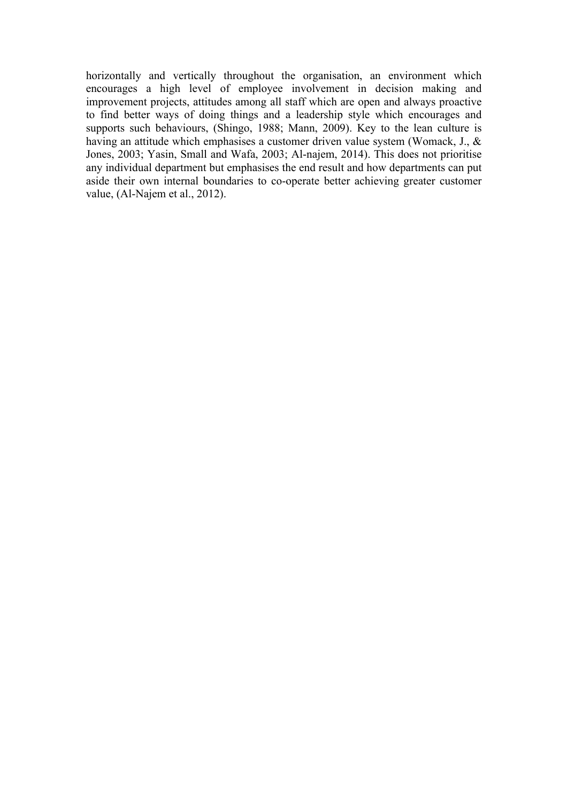horizontally and vertically throughout the organisation, an environment which encourages a high level of employee involvement in decision making and improvement projects, attitudes among all staff which are open and always proactive to find better ways of doing things and a leadership style which encourages and supports such behaviours, (Shingo, 1988; Mann, 2009). Key to the lean culture is having an attitude which emphasises a customer driven value system (Womack, J., & Jones, 2003; Yasin, Small and Wafa, 2003; Al-najem, 2014). This does not prioritise any individual department but emphasises the end result and how departments can put aside their own internal boundaries to co-operate better achieving greater customer value, (Al-Najem et al., 2012).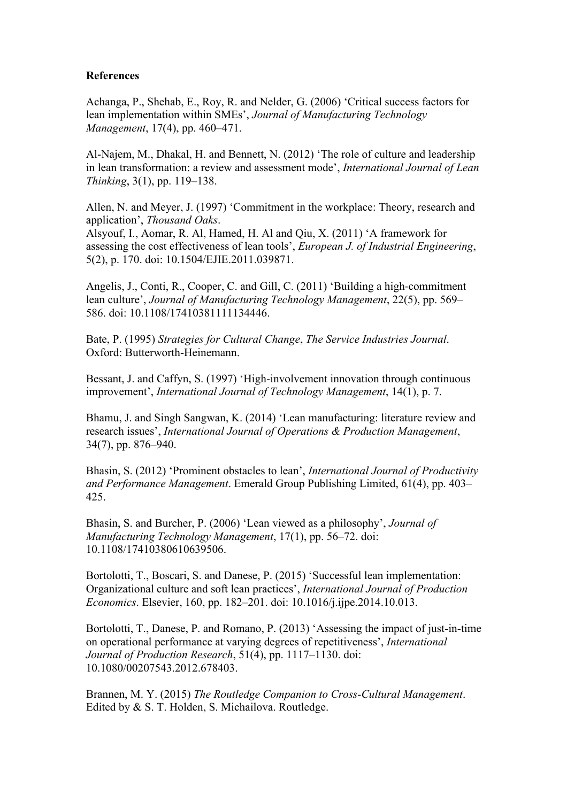# **References**

Achanga, P., Shehab, E., Roy, R. and Nelder, G. (2006) 'Critical success factors for lean implementation within SMEs', *Journal of Manufacturing Technology Management*, 17(4), pp. 460–471.

Al-Najem, M., Dhakal, H. and Bennett, N. (2012) 'The role of culture and leadership in lean transformation: a review and assessment mode', *International Journal of Lean Thinking*, 3(1), pp. 119–138.

Allen, N. and Meyer, J. (1997) 'Commitment in the workplace: Theory, research and application', *Thousand Oaks*.

Alsyouf, I., Aomar, R. Al, Hamed, H. Al and Qiu, X. (2011) 'A framework for assessing the cost effectiveness of lean tools', *European J. of Industrial Engineering*, 5(2), p. 170. doi: 10.1504/EJIE.2011.039871.

Angelis, J., Conti, R., Cooper, C. and Gill, C. (2011) 'Building a high-commitment lean culture', *Journal of Manufacturing Technology Management*, 22(5), pp. 569– 586. doi: 10.1108/17410381111134446.

Bate, P. (1995) *Strategies for Cultural Change*, *The Service Industries Journal*. Oxford: Butterworth-Heinemann.

Bessant, J. and Caffyn, S. (1997) 'High-involvement innovation through continuous improvement', *International Journal of Technology Management*, 14(1), p. 7.

Bhamu, J. and Singh Sangwan, K. (2014) 'Lean manufacturing: literature review and research issues', *International Journal of Operations & Production Management*, 34(7), pp. 876–940.

Bhasin, S. (2012) 'Prominent obstacles to lean', *International Journal of Productivity and Performance Management*. Emerald Group Publishing Limited, 61(4), pp. 403– 425.

Bhasin, S. and Burcher, P. (2006) 'Lean viewed as a philosophy', *Journal of Manufacturing Technology Management*, 17(1), pp. 56–72. doi: 10.1108/17410380610639506.

Bortolotti, T., Boscari, S. and Danese, P. (2015) 'Successful lean implementation: Organizational culture and soft lean practices', *International Journal of Production Economics*. Elsevier, 160, pp. 182–201. doi: 10.1016/j.ijpe.2014.10.013.

Bortolotti, T., Danese, P. and Romano, P. (2013) 'Assessing the impact of just-in-time on operational performance at varying degrees of repetitiveness', *International Journal of Production Research*, 51(4), pp. 1117–1130. doi: 10.1080/00207543.2012.678403.

Brannen, M. Y. (2015) *The Routledge Companion to Cross-Cultural Management*. Edited by & S. T. Holden, S. Michailova. Routledge.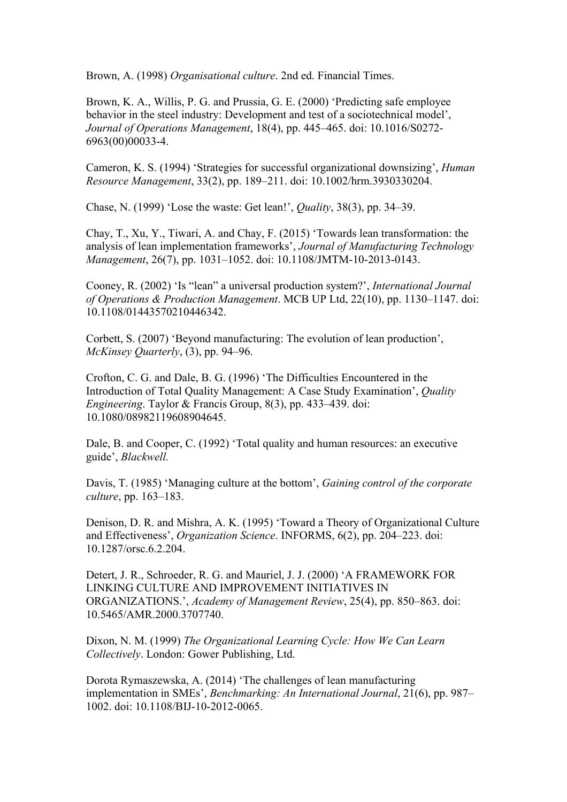Brown, A. (1998) *Organisational culture*. 2nd ed. Financial Times.

Brown, K. A., Willis, P. G. and Prussia, G. E. (2000) 'Predicting safe employee behavior in the steel industry: Development and test of a sociotechnical model', *Journal of Operations Management*, 18(4), pp. 445–465. doi: 10.1016/S0272- 6963(00)00033-4.

Cameron, K. S. (1994) 'Strategies for successful organizational downsizing', *Human Resource Management*, 33(2), pp. 189–211. doi: 10.1002/hrm.3930330204.

Chase, N. (1999) 'Lose the waste: Get lean!', *Quality*, 38(3), pp. 34–39.

Chay, T., Xu, Y., Tiwari, A. and Chay, F. (2015) 'Towards lean transformation: the analysis of lean implementation frameworks', *Journal of Manufacturing Technology Management*, 26(7), pp. 1031–1052. doi: 10.1108/JMTM-10-2013-0143.

Cooney, R. (2002) 'Is "lean" a universal production system?', *International Journal of Operations & Production Management*. MCB UP Ltd, 22(10), pp. 1130–1147. doi: 10.1108/01443570210446342.

Corbett, S. (2007) 'Beyond manufacturing: The evolution of lean production', *McKinsey Quarterly*, (3), pp. 94–96.

Crofton, C. G. and Dale, B. G. (1996) 'The Difficulties Encountered in the Introduction of Total Quality Management: A Case Study Examination', *Quality Engineering*. Taylor & Francis Group, 8(3), pp. 433–439. doi: 10.1080/08982119608904645.

Dale, B. and Cooper, C. (1992) 'Total quality and human resources: an executive guide', *Blackwell.*

Davis, T. (1985) 'Managing culture at the bottom', *Gaining control of the corporate culture*, pp. 163–183.

Denison, D. R. and Mishra, A. K. (1995) 'Toward a Theory of Organizational Culture and Effectiveness', *Organization Science*. INFORMS, 6(2), pp. 204–223. doi: 10.1287/orsc.6.2.204.

Detert, J. R., Schroeder, R. G. and Mauriel, J. J. (2000) 'A FRAMEWORK FOR LINKING CULTURE AND IMPROVEMENT INITIATIVES IN ORGANIZATIONS.', *Academy of Management Review*, 25(4), pp. 850–863. doi: 10.5465/AMR.2000.3707740.

Dixon, N. M. (1999) *The Organizational Learning Cycle: How We Can Learn Collectively*. London: Gower Publishing, Ltd.

Dorota Rymaszewska, A. (2014) 'The challenges of lean manufacturing implementation in SMEs', *Benchmarking: An International Journal*, 21(6), pp. 987– 1002. doi: 10.1108/BIJ-10-2012-0065.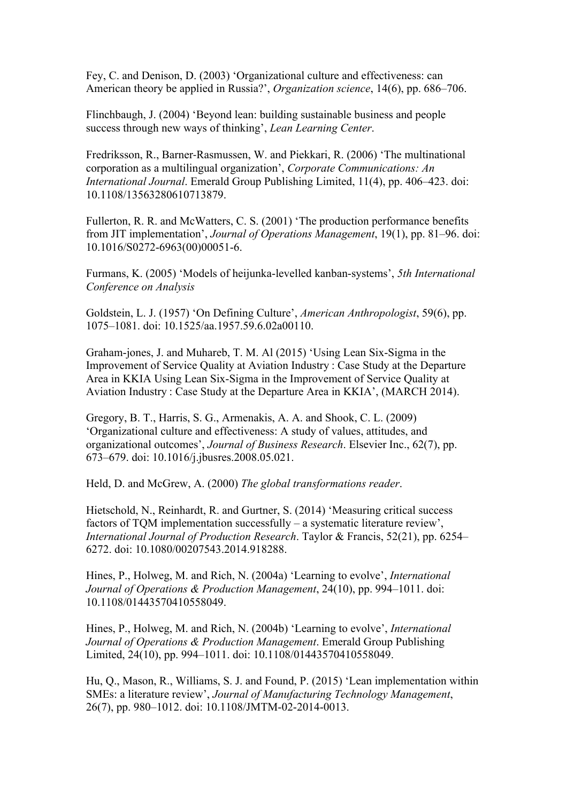Fey, C. and Denison, D. (2003) 'Organizational culture and effectiveness: can American theory be applied in Russia?', *Organization science*, 14(6), pp. 686–706.

Flinchbaugh, J. (2004) 'Beyond lean: building sustainable business and people success through new ways of thinking', *Lean Learning Center*.

Fredriksson, R., Barner-Rasmussen, W. and Piekkari, R. (2006) 'The multinational corporation as a multilingual organization', *Corporate Communications: An International Journal*. Emerald Group Publishing Limited, 11(4), pp. 406–423. doi: 10.1108/13563280610713879.

Fullerton, R. R. and McWatters, C. S. (2001) 'The production performance benefits from JIT implementation', *Journal of Operations Management*, 19(1), pp. 81–96. doi: 10.1016/S0272-6963(00)00051-6.

Furmans, K. (2005) 'Models of heijunka-levelled kanban-systems', *5th International Conference on Analysis* 

Goldstein, L. J. (1957) 'On Defining Culture', *American Anthropologist*, 59(6), pp. 1075–1081. doi: 10.1525/aa.1957.59.6.02a00110.

Graham-jones, J. and Muhareb, T. M. Al (2015) 'Using Lean Six-Sigma in the Improvement of Service Quality at Aviation Industry : Case Study at the Departure Area in KKIA Using Lean Six-Sigma in the Improvement of Service Quality at Aviation Industry : Case Study at the Departure Area in KKIA', (MARCH 2014).

Gregory, B. T., Harris, S. G., Armenakis, A. A. and Shook, C. L. (2009) 'Organizational culture and effectiveness: A study of values, attitudes, and organizational outcomes', *Journal of Business Research*. Elsevier Inc., 62(7), pp. 673–679. doi: 10.1016/j.jbusres.2008.05.021.

Held, D. and McGrew, A. (2000) *The global transformations reader*.

Hietschold, N., Reinhardt, R. and Gurtner, S. (2014) 'Measuring critical success factors of TQM implementation successfully – a systematic literature review', *International Journal of Production Research*. Taylor & Francis, 52(21), pp. 6254– 6272. doi: 10.1080/00207543.2014.918288.

Hines, P., Holweg, M. and Rich, N. (2004a) 'Learning to evolve', *International Journal of Operations & Production Management*, 24(10), pp. 994–1011. doi: 10.1108/01443570410558049.

Hines, P., Holweg, M. and Rich, N. (2004b) 'Learning to evolve', *International Journal of Operations & Production Management*. Emerald Group Publishing Limited, 24(10), pp. 994–1011. doi: 10.1108/01443570410558049.

Hu, Q., Mason, R., Williams, S. J. and Found, P. (2015) 'Lean implementation within SMEs: a literature review', *Journal of Manufacturing Technology Management*, 26(7), pp. 980–1012. doi: 10.1108/JMTM-02-2014-0013.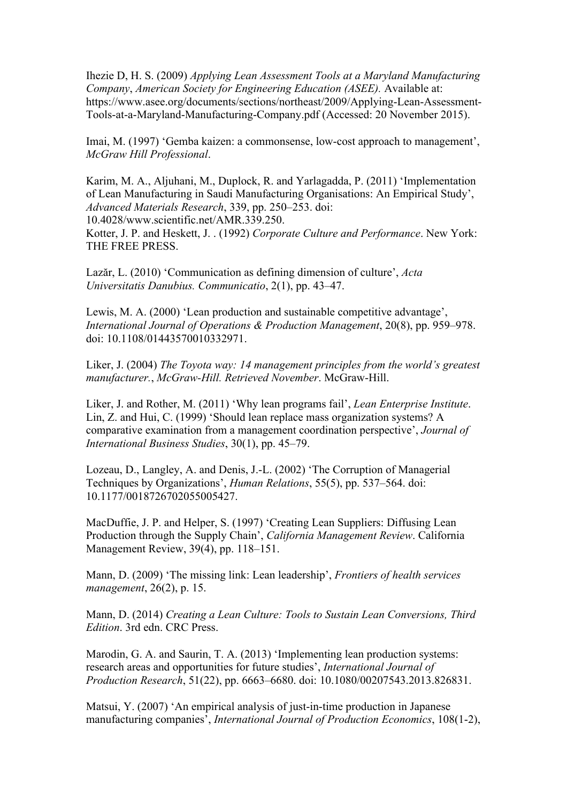Ihezie D, H. S. (2009) *Applying Lean Assessment Tools at a Maryland Manufacturing Company*, *American Society for Engineering Education (ASEE).* Available at: https://www.asee.org/documents/sections/northeast/2009/Applying-Lean-Assessment-Tools-at-a-Maryland-Manufacturing-Company.pdf (Accessed: 20 November 2015).

Imai, M. (1997) 'Gemba kaizen: a commonsense, low-cost approach to management', *McGraw Hill Professional*.

Karim, M. A., Aljuhani, M., Duplock, R. and Yarlagadda, P. (2011) 'Implementation of Lean Manufacturing in Saudi Manufacturing Organisations: An Empirical Study', *Advanced Materials Research*, 339, pp. 250–253. doi: 10.4028/www.scientific.net/AMR.339.250.

Kotter, J. P. and Heskett, J. . (1992) *Corporate Culture and Performance*. New York: THE FREE PRESS.

Lazăr, L. (2010) 'Communication as defining dimension of culture', *Acta Universitatis Danubius. Communicatio*, 2(1), pp. 43–47.

Lewis, M. A. (2000) 'Lean production and sustainable competitive advantage', *International Journal of Operations & Production Management*, 20(8), pp. 959–978. doi: 10.1108/01443570010332971.

Liker, J. (2004) *The Toyota way: 14 management principles from the world's greatest manufacturer.*, *McGraw-Hill. Retrieved November*. McGraw-Hill.

Liker, J. and Rother, M. (2011) 'Why lean programs fail', *Lean Enterprise Institute*. Lin, Z. and Hui, C. (1999) 'Should lean replace mass organization systems? A comparative examination from a management coordination perspective', *Journal of International Business Studies*, 30(1), pp. 45–79.

Lozeau, D., Langley, A. and Denis, J.-L. (2002) 'The Corruption of Managerial Techniques by Organizations', *Human Relations*, 55(5), pp. 537–564. doi: 10.1177/0018726702055005427.

MacDuffie, J. P. and Helper, S. (1997) 'Creating Lean Suppliers: Diffusing Lean Production through the Supply Chain', *California Management Review*. California Management Review, 39(4), pp. 118–151.

Mann, D. (2009) 'The missing link: Lean leadership', *Frontiers of health services management*, 26(2), p. 15.

Mann, D. (2014) *Creating a Lean Culture: Tools to Sustain Lean Conversions, Third Edition*. 3rd edn. CRC Press.

Marodin, G. A. and Saurin, T. A. (2013) 'Implementing lean production systems: research areas and opportunities for future studies', *International Journal of Production Research*, 51(22), pp. 6663–6680. doi: 10.1080/00207543.2013.826831.

Matsui, Y. (2007) 'An empirical analysis of just-in-time production in Japanese manufacturing companies', *International Journal of Production Economics*, 108(1-2),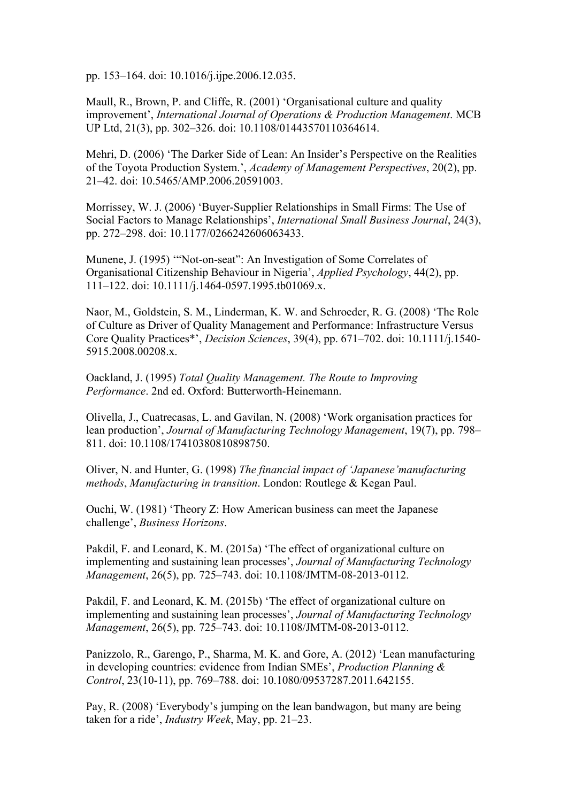pp. 153–164. doi: 10.1016/j.ijpe.2006.12.035.

Maull, R., Brown, P. and Cliffe, R. (2001) 'Organisational culture and quality improvement', *International Journal of Operations & Production Management*. MCB UP Ltd, 21(3), pp. 302–326. doi: 10.1108/01443570110364614.

Mehri, D. (2006) 'The Darker Side of Lean: An Insider's Perspective on the Realities of the Toyota Production System.', *Academy of Management Perspectives*, 20(2), pp. 21–42. doi: 10.5465/AMP.2006.20591003.

Morrissey, W. J. (2006) 'Buyer-Supplier Relationships in Small Firms: The Use of Social Factors to Manage Relationships', *International Small Business Journal*, 24(3), pp. 272–298. doi: 10.1177/0266242606063433.

Munene, J. (1995) '"Not-on-seat": An Investigation of Some Correlates of Organisational Citizenship Behaviour in Nigeria', *Applied Psychology*, 44(2), pp. 111–122. doi: 10.1111/j.1464-0597.1995.tb01069.x.

Naor, M., Goldstein, S. M., Linderman, K. W. and Schroeder, R. G. (2008) 'The Role of Culture as Driver of Quality Management and Performance: Infrastructure Versus Core Quality Practices\*', *Decision Sciences*, 39(4), pp. 671–702. doi: 10.1111/j.1540- 5915.2008.00208.x.

Oackland, J. (1995) *Total Quality Management. The Route to Improving Performance*. 2nd ed. Oxford: Butterworth-Heinemann.

Olivella, J., Cuatrecasas, L. and Gavilan, N. (2008) 'Work organisation practices for lean production', *Journal of Manufacturing Technology Management*, 19(7), pp. 798– 811. doi: 10.1108/17410380810898750.

Oliver, N. and Hunter, G. (1998) *The financial impact of 'Japanese'manufacturing methods*, *Manufacturing in transition*. London: Routlege & Kegan Paul.

Ouchi, W. (1981) 'Theory Z: How American business can meet the Japanese challenge', *Business Horizons*.

Pakdil, F. and Leonard, K. M. (2015a) 'The effect of organizational culture on implementing and sustaining lean processes', *Journal of Manufacturing Technology Management*, 26(5), pp. 725–743. doi: 10.1108/JMTM-08-2013-0112.

Pakdil, F. and Leonard, K. M. (2015b) 'The effect of organizational culture on implementing and sustaining lean processes', *Journal of Manufacturing Technology Management*, 26(5), pp. 725–743. doi: 10.1108/JMTM-08-2013-0112.

Panizzolo, R., Garengo, P., Sharma, M. K. and Gore, A. (2012) 'Lean manufacturing in developing countries: evidence from Indian SMEs', *Production Planning & Control*, 23(10-11), pp. 769–788. doi: 10.1080/09537287.2011.642155.

Pay, R. (2008) 'Everybody's jumping on the lean bandwagon, but many are being taken for a ride', *Industry Week*, May, pp. 21–23.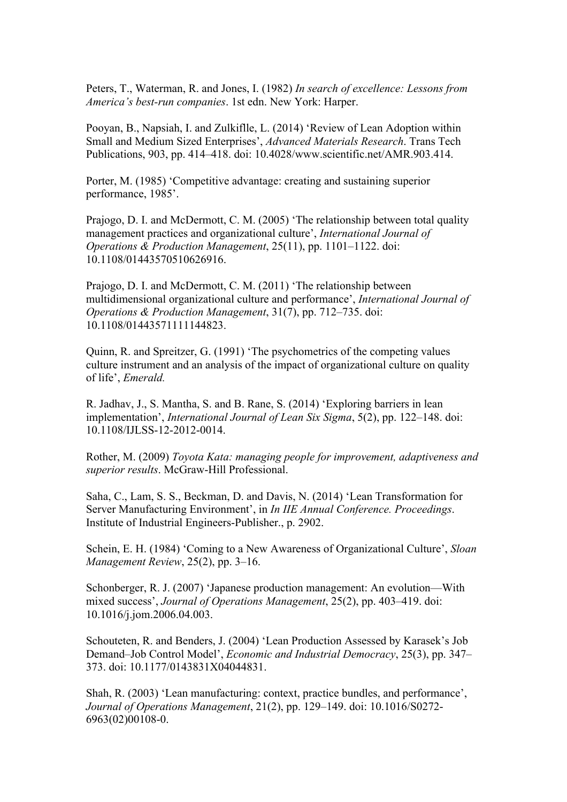Peters, T., Waterman, R. and Jones, I. (1982) *In search of excellence: Lessons from America's best-run companies*. 1st edn. New York: Harper.

Pooyan, B., Napsiah, I. and Zulkiflle, L. (2014) 'Review of Lean Adoption within Small and Medium Sized Enterprises', *Advanced Materials Research*. Trans Tech Publications, 903, pp. 414–418. doi: 10.4028/www.scientific.net/AMR.903.414.

Porter, M. (1985) 'Competitive advantage: creating and sustaining superior performance, 1985'.

Prajogo, D. I. and McDermott, C. M. (2005) 'The relationship between total quality management practices and organizational culture', *International Journal of Operations & Production Management*, 25(11), pp. 1101–1122. doi: 10.1108/01443570510626916.

Prajogo, D. I. and McDermott, C. M. (2011) 'The relationship between multidimensional organizational culture and performance', *International Journal of Operations & Production Management*, 31(7), pp. 712–735. doi: 10.1108/01443571111144823.

Quinn, R. and Spreitzer, G. (1991) 'The psychometrics of the competing values culture instrument and an analysis of the impact of organizational culture on quality of life', *Emerald.*

R. Jadhav, J., S. Mantha, S. and B. Rane, S. (2014) 'Exploring barriers in lean implementation', *International Journal of Lean Six Sigma*, 5(2), pp. 122–148. doi: 10.1108/IJLSS-12-2012-0014.

Rother, M. (2009) *Toyota Kata: managing people for improvement, adaptiveness and superior results*. McGraw-Hill Professional.

Saha, C., Lam, S. S., Beckman, D. and Davis, N. (2014) 'Lean Transformation for Server Manufacturing Environment', in *In IIE Annual Conference. Proceedings*. Institute of Industrial Engineers-Publisher., p. 2902.

Schein, E. H. (1984) 'Coming to a New Awareness of Organizational Culture', *Sloan Management Review*, 25(2), pp. 3–16.

Schonberger, R. J. (2007) 'Japanese production management: An evolution—With mixed success', *Journal of Operations Management*, 25(2), pp. 403–419. doi: 10.1016/j.jom.2006.04.003.

Schouteten, R. and Benders, J. (2004) 'Lean Production Assessed by Karasek's Job Demand–Job Control Model', *Economic and Industrial Democracy*, 25(3), pp. 347– 373. doi: 10.1177/0143831X04044831.

Shah, R. (2003) 'Lean manufacturing: context, practice bundles, and performance', *Journal of Operations Management*, 21(2), pp. 129–149. doi: 10.1016/S0272- 6963(02)00108-0.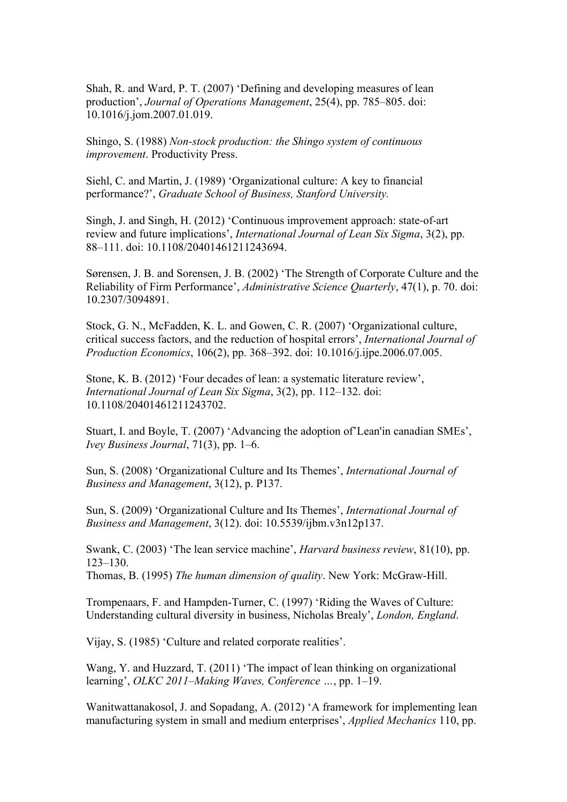Shah, R. and Ward, P. T. (2007) 'Defining and developing measures of lean production', *Journal of Operations Management*, 25(4), pp. 785–805. doi: 10.1016/j.jom.2007.01.019.

Shingo, S. (1988) *Non-stock production: the Shingo system of continuous improvement*. Productivity Press.

Siehl, C. and Martin, J. (1989) 'Organizational culture: A key to financial performance?', *Graduate School of Business, Stanford University.*

Singh, J. and Singh, H. (2012) 'Continuous improvement approach: state-of-art review and future implications', *International Journal of Lean Six Sigma*, 3(2), pp. 88–111. doi: 10.1108/20401461211243694.

Sørensen, J. B. and Sorensen, J. B. (2002) 'The Strength of Corporate Culture and the Reliability of Firm Performance', *Administrative Science Quarterly*, 47(1), p. 70. doi: 10.2307/3094891.

Stock, G. N., McFadden, K. L. and Gowen, C. R. (2007) 'Organizational culture, critical success factors, and the reduction of hospital errors', *International Journal of Production Economics*, 106(2), pp. 368–392. doi: 10.1016/j.ijpe.2006.07.005.

Stone, K. B. (2012) 'Four decades of lean: a systematic literature review', *International Journal of Lean Six Sigma*, 3(2), pp. 112–132. doi: 10.1108/20401461211243702.

Stuart, I. and Boyle, T. (2007) 'Advancing the adoption of'Lean'in canadian SMEs', *Ivey Business Journal*, 71(3), pp. 1–6.

Sun, S. (2008) 'Organizational Culture and Its Themes', *International Journal of Business and Management*, 3(12), p. P137.

Sun, S. (2009) 'Organizational Culture and Its Themes', *International Journal of Business and Management*, 3(12). doi: 10.5539/ijbm.v3n12p137.

Swank, C. (2003) 'The lean service machine', *Harvard business review*, 81(10), pp. 123–130.

Thomas, B. (1995) *The human dimension of quality*. New York: McGraw-Hill.

Trompenaars, F. and Hampden-Turner, C. (1997) 'Riding the Waves of Culture: Understanding cultural diversity in business, Nicholas Brealy', *London, England*.

Vijay, S. (1985) 'Culture and related corporate realities'.

Wang, Y. and Huzzard, T. (2011) 'The impact of lean thinking on organizational learning', *OLKC 2011–Making Waves, Conference …*, pp. 1–19.

Wanitwattanakosol, J. and Sopadang, A. (2012) 'A framework for implementing lean manufacturing system in small and medium enterprises', *Applied Mechanics* 110, pp.